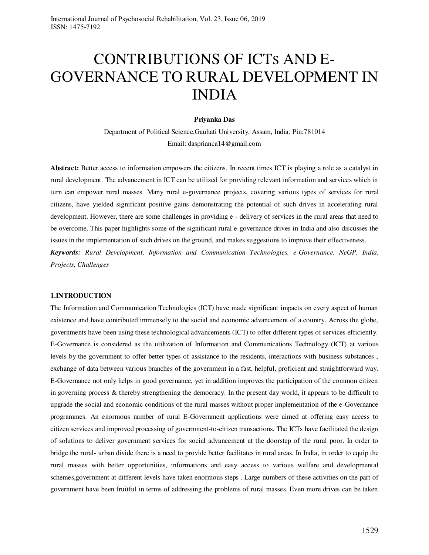# CONTRIBUTIONS OF ICTS AND E-GOVERNANCE TO RURAL DEVELOPMENT IN INDIA

### **Priyanka Das**

Department of Political Science,Gauhati University, Assam, India, Pin:781014 Email: dasprianca14@gmail.com

**Abstract:** Better access to information empowers the citizens. In recent times ICT is playing a role as a catalyst in rural development. The advancement in ICT can be utilized for providing relevant information and services which in turn can empower rural masses. Many rural e-governance projects, covering various types of services for rural citizens, have yielded significant positive gains demonstrating the potential of such drives in accelerating rural development. However, there are some challenges in providing e - delivery of services in the rural areas that need to be overcome. This paper highlights some of the significant rural e-governance drives in India and also discusses the issues in the implementation of such drives on the ground, and makes suggestions to improve their effectiveness.

*Keywords: Rural Development, Information and Communication Technologies, e-Governance, NeGP, India, Projects, Challenges* 

#### **1.INTRODUCTION**

The Information and Communication Technologies (ICT) have made significant impacts on every aspect of human existence and have contributed immensely to the social and economic advancement of a country. Across the globe, governments have been using these technological advancements (ICT) to offer different types of services efficiently. E-Governance is considered as the utilization of Information and Communications Technology (ICT) at various levels by the government to offer better types of assistance to the residents, interactions with business substances , exchange of data between various branches of the government in a fast, helpful, proficient and straightforward way. E-Governance not only helps in good governance, yet in addition improves the participation of the common citizen in governing process & thereby strengthening the democracy. In the present day world, it appears to be difficult to upgrade the social and economic conditions of the rural masses without proper implementation of the e-Governance programmes. An enormous number of rural E-Government applications were aimed at offering easy access to citizen services and improved processing of government-to-citizen transactions. The ICTs have facilitated the design of solutions to deliver government services for social advancement at the doorstep of the rural poor. In order to bridge the rural- urban divide there is a need to provide better facilitates in rural areas. In India, in order to equip the rural masses with better opportunities, informations and easy access to various welfare and developmental schemes,government at different levels have taken enormous steps . Large numbers of these activities on the part of government have been fruitful in terms of addressing the problems of rural masses. Even more drives can be taken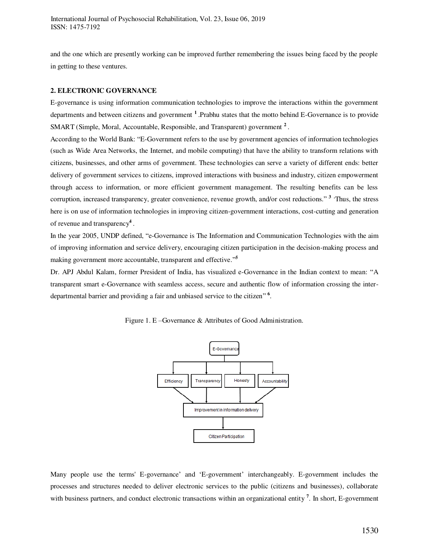and the one which are presently working can be improved further remembering the issues being faced by the people in getting to these ventures.

## **2. ELECTRONIC GOVERNANCE**

E-governance is using information communication technologies to improve the interactions within the government departments and between citizens and government **<sup>1</sup>**.Prabhu states that the motto behind E-Governance is to provide SMART (Simple, Moral, Accountable, Responsible, and Transparent) government **<sup>2</sup>** .

According to the World Bank: "E-Government refers to the use by government agencies of information technologies (such as Wide Area Networks, the Internet, and mobile computing) that have the ability to transform relations with citizens, businesses, and other arms of government. These technologies can serve a variety of different ends: better delivery of government services to citizens, improved interactions with business and industry, citizen empowerment through access to information, or more efficient government management. The resulting benefits can be less corruption, increased transparency, greater convenience, revenue growth, and/or cost reductions." **3 .**Thus, the stress here is on use of information technologies in improving citizen-government interactions, cost-cutting and generation of revenue and transparency**<sup>4</sup>** .

In the year 2005, UNDP defined, "e-Governance is The Information and Communication Technologies with the aim of improving information and service delivery, encouraging citizen participation in the decision-making process and making government more accountable, transparent and effective."<sup>5</sup>

Dr. APJ Abdul Kalam, former President of India, has visualized e-Governance in the Indian context to mean: "A transparent smart e-Governance with seamless access, secure and authentic flow of information crossing the interdepartmental barrier and providing a fair and unbiased service to the citizen" **6** .





Many people use the terms' E-governance' and 'E-government' interchangeably. E-government includes the processes and structures needed to deliver electronic services to the public (citizens and businesses), collaborate with business partners, and conduct electronic transactions within an organizational entity<sup>7</sup>. In short, E-government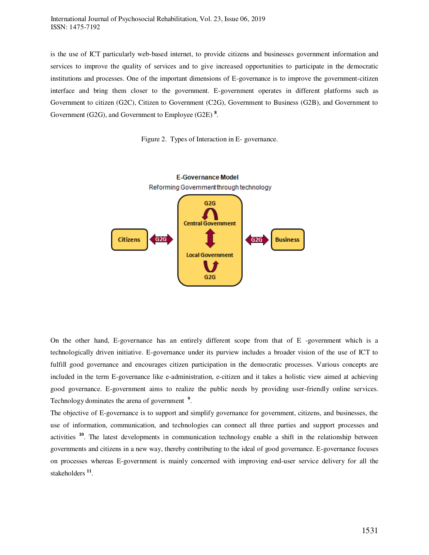is the use of ICT particularly web-based internet, to provide citizens and businesses government information and services to improve the quality of services and to give increased opportunities to participate in the democratic institutions and processes. One of the important dimensions of E-governance is to improve the government-citizen interface and bring them closer to the government. E-government operates in different platforms such as Government to citizen (G2C), Citizen to Government (C2G), Government to Business (G2B), and Government to Government (G2G), and Government to Employee (G2E) **<sup>8</sup>** .





On the other hand, E-governance has an entirely different scope from that of E -government which is a technologically driven initiative. E-governance under its purview includes a broader vision of the use of ICT to fulfill good governance and encourages citizen participation in the democratic processes. Various concepts are included in the term E-governance like e-administration, e-citizen and it takes a holistic view aimed at achieving good governance. E-government aims to realize the public needs by providing user-friendly online services. Technology dominates the arena of government **<sup>9</sup>** .

The objective of E-governance is to support and simplify governance for government, citizens, and businesses, the use of information, communication, and technologies can connect all three parties and support processes and activities **<sup>10</sup>**. The latest developments in communication technology enable a shift in the relationship between governments and citizens in a new way, thereby contributing to the ideal of good governance. E-governance focuses on processes whereas E-government is mainly concerned with improving end-user service delivery for all the stakeholders **<sup>11</sup>** .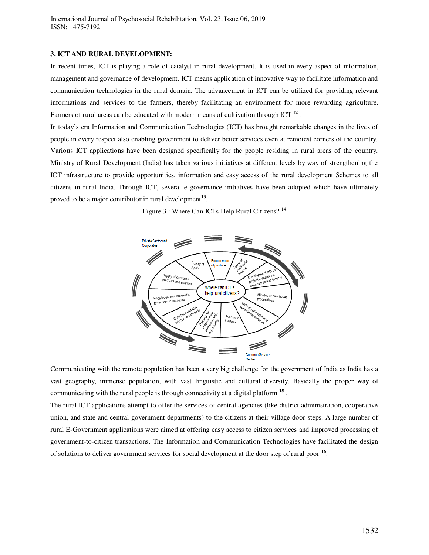#### **3. ICT AND RURAL DEVELOPMENT:**

In recent times, ICT is playing a role of catalyst in rural development. It is used in every aspect of information, management and governance of development. ICT means application of innovative way to facilitate information and communication technologies in the rural domain. The advancement in ICT can be utilized for providing relevant informations and services to the farmers, thereby facilitating an environment for more rewarding agriculture. Farmers of rural areas can be educated with modern means of cultivation through ICT **<sup>12</sup>** .

In today's era Information and Communication Technologies (ICT) has brought remarkable changes in the lives of people in every respect also enabling government to deliver better services even at remotest corners of the country. Various ICT applications have been designed specifically for the people residing in rural areas of the country. Ministry of Rural Development (India) has taken various initiatives at different levels by way of strengthening the ICT infrastructure to provide opportunities, information and easy access of the rural development Schemes to all citizens in rural India. Through ICT, several e-governance initiatives have been adopted which have ultimately proved to be a major contributor in rural development**<sup>13</sup>** .

Figure 3 : Where Can ICTs Help Rural Citizens? <sup>14</sup>



Communicating with the remote population has been a very big challenge for the government of India as India has a vast geography, immense population, with vast linguistic and cultural diversity. Basically the proper way of communicating with the rural people is through connectivity at a digital platform **<sup>15</sup>** .

The rural ICT applications attempt to offer the services of central agencies (like district administration, cooperative union, and state and central government departments) to the citizens at their village door steps. A large number of rural E-Government applications were aimed at offering easy access to citizen services and improved processing of government-to-citizen transactions. The Information and Communication Technologies have facilitated the design of solutions to deliver government services for social development at the door step of rural poor **<sup>16</sup>** .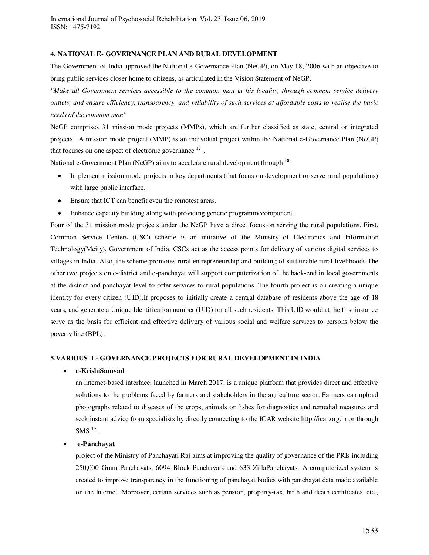## **4. NATIONAL E- GOVERNANCE PLAN AND RURAL DEVELOPMENT**

The Government of India approved the National e-Governance Plan (NeGP), on May 18, 2006 with an objective to bring public services closer home to citizens, as articulated in the Vision Statement of NeGP.

*"Make all Government services accessible to the common man in his locality, through common service delivery outlets, and ensure efficiency, transparency, and reliability of such services at affordable costs to realise the basic needs of the common man"* 

NeGP comprises 31 mission mode projects (MMPs), which are further classified as state, central or integrated projects. A mission mode project (MMP) is an individual project within the National e-Governance Plan (NeGP) that focuses on one aspect of electronic governance **<sup>17</sup> .** 

National e-Government Plan (NeGP) aims to accelerate rural development through **<sup>18</sup>**:

- Implement mission mode projects in key departments (that focus on development or serve rural populations) with large public interface,
- Ensure that ICT can benefit even the remotest areas.
- Enhance capacity building along with providing generic programmecomponent .

Four of the 31 mission mode projects under the NeGP have a direct focus on serving the rural populations. First, Common Service Centers (CSC) scheme is an initiative of the Ministry of Electronics and Information Technology(Meity), Government of India. CSCs act as the access points for delivery of various digital services to villages in India. Also, the scheme promotes rural entrepreneurship and building of sustainable rural livelihoods.The other two projects on e-district and e-panchayat will support computerization of the back-end in local governments at the district and panchayat level to offer services to rural populations. The fourth project is on creating a unique identity for every citizen (UID).It proposes to initially create a central database of residents above the age of 18 years, and generate a Unique Identification number (UID) for all such residents. This UID would at the first instance serve as the basis for efficient and effective delivery of various social and welfare services to persons below the poverty line (BPL).

## **5.VARIOUS E- GOVERNANCE PROJECTS FOR RURAL DEVELOPMENT IN INDIA**

## **e-KrishiSamvad**

an internet-based interface, launched in March 2017, is a unique platform that provides direct and effective solutions to the problems faced by farmers and stakeholders in the agriculture sector. Farmers can upload photographs related to diseases of the crops, animals or fishes for diagnostics and remedial measures and seek instant advice from specialists by directly connecting to the ICAR website http://icar.org.in or through  ${\rm SMS}^{19}$  .

# **e-Panchayat**

project of the Ministry of Panchayati Raj aims at improving the quality of governance of the PRIs including 250,000 Gram Panchayats, 6094 Block Panchayats and 633 ZillaPanchayats. A computerized system is created to improve transparency in the functioning of panchayat bodies with panchayat data made available on the Internet. Moreover, certain services such as pension, property-tax, birth and death certificates, etc.,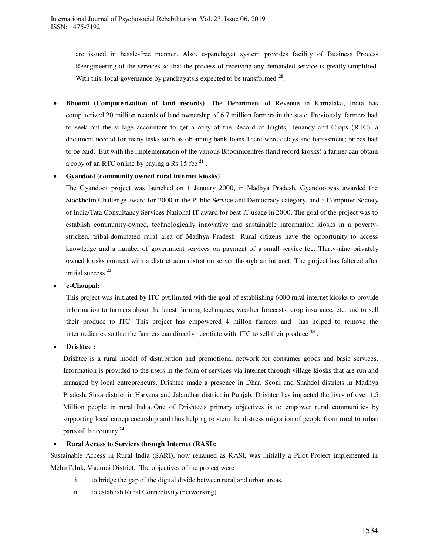are issued in hassle-free manner. Also, e-panchayat system provides facility of Business Process Reengineering of the services so that the process of receiving any demanded service is greatly simplified. With this, local governance by panchayatsis expected to be transformed  $20$ .

 **Bhoomi (Computerization of land records)**. The Department of Revenue in Karnataka, India has computerized 20 million records of land ownership of 6.7 million farmers in the state. Previously, farmers had to seek out the village accountant to get a copy of the Record of Rights, Tenancy and Crops (RTC), a document needed for many tasks such as obtaining bank loans.There were delays and harassment; bribes had to be paid. But with the implementation of the various Bhoomicentres (land record kiosks) a farmer can obtain a copy of an RTC online by paying a Rs 15 fee **<sup>21</sup>** .

## **Gyandoot (community owned rural internet kiosks)**

The Gyandoot project was launched on 1 January 2000, in Madhya Pradesh. Gyandootwas awarded the Stockholm Challenge award for 2000 in the Public Service and Democracy category, and a Computer Society of India/Tata Consultancy Services National IT award for best IT usage in 2000. The goal of the project was to establish community-owned, technologically innovative and sustainable information kiosks in a povertystricken, tribal-dominated rural area of Madhya Pradesh. Rural citizens have the opportunity to access knowledge and a number of government services on payment of a small service fee. Thirty-nine privately owned kiosks connect with a district administration server through an intranet. The project has faltered after initial success **<sup>22</sup>** .

#### **e-Choupal:**

This project was initiated by ITC pvt.limited with the goal of establishing 6000 rural internet kiosks to provide information to farmers about the latest farming techniques, weather forecasts, crop insurance, etc. and to sell their produce to ITC. This project has empowered 4 millon farmers and has helped to remove the intermediaries so that the farmers can directly negotiate with ITC to sell their produce **<sup>23</sup>** .

**Drishtee :**

Drishtee is a rural model of distribution and promotional network for consumer goods and basic services. Information is provided to the users in the form of services via internet through village kiosks that are run and managed by local entrepreneurs. Drishtee made a presence in Dhar, Seoni and Shahdol districts in Madhya Pradesh, Sirsa district in Haryana and Jalandhar district in Punjab. Drishtee has impacted the lives of over 1.5 Million people in rural India. One of Drishtee's primary objectives is to empower rural communities by supporting local entrepreneurship and thus helping to stem the [distress migration](https://en.wikipedia.org/w/index.php?title=Distress_migration&action=edit&redlink=1) of people from rural to urban parts of the country **<sup>24</sup>** .

## **Rural Access to Services through Internet (RASI):**

Sustainable Access in Rural India (SARI), now renamed as RASI, was initially a Pilot Project implemented in MelurTaluk, Madurai District. The objectives of the project were :

- i. to bridge the gap of the digital divide between rural and urban areas.
- ii. to establish Rural Connectivity (networking) .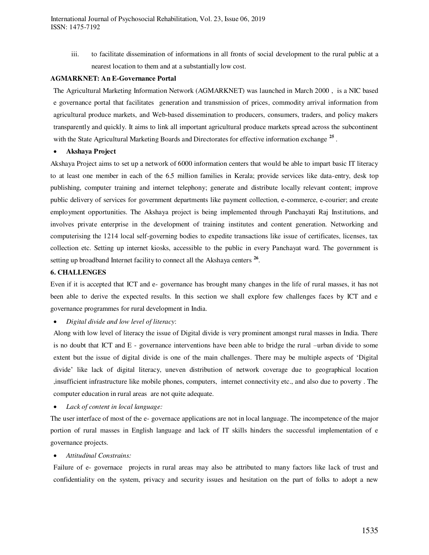iii. to facilitate dissemination of informations in all fronts of social development to the rural public at a nearest location to them and at a substantially low cost.

#### **AGMARKNET: An E-Governance Portal**

The Agricultural Marketing Information Network (AGMARKNET) was launched in March 2000 , is a NIC based e governance portal that facilitates generation and transmission of prices, commodity arrival information from agricultural produce markets, and Web-based dissemination to producers, consumers, traders, and policy makers transparently and quickly. It aims to link all important agricultural produce markets spread across the subcontinent with the State Agricultural Marketing Boards and Directorates for effective information exchange <sup>25</sup>.

#### **Akshaya Project**

Akshaya Project aims to set up a network of 6000 information centers that would be able to impart basic IT literacy to at least one member in each of the 6.5 million families in Kerala; provide services like data-entry, desk top publishing, computer training and internet telephony; generate and distribute locally relevant content; improve public delivery of services for government departments like payment collection, e-commerce, e-courier; and create employment opportunities. The Akshaya project is being implemented through Panchayati Raj Institutions, and involves private enterprise in the development of training institutes and content generation. Networking and computerising the 1214 local self-governing bodies to expedite transactions like issue of certificates, licenses, tax collection etc. Setting up internet kiosks, accessible to the public in every Panchayat ward. The government is setting up broadband Internet facility to connect all the Akshaya centers <sup>26</sup>.

#### **6. CHALLENGES**

Even if it is accepted that ICT and e- governance has brought many changes in the life of rural masses, it has not been able to derive the expected results. In this section we shall explore few challenges faces by ICT and e governance programmes for rural development in India.

*Digital divide and low level of literacy*:

Along with low level of literacy the issue of Digital divide is very prominent amongst rural masses in India. There is no doubt that ICT and E - governance interventions have been able to bridge the rural –urban divide to some extent but the issue of digital divide is one of the main challenges. There may be multiple aspects of 'Digital divide' like lack of digital literacy, uneven distribution of network coverage due to geographical location ,insufficient infrastructure like mobile phones, computers, internet connectivity etc., and also due to poverty . The computer education in rural areas are not quite adequate.

*Lack of content in local language:* 

The user interface of most of the e- governace applications are not in local language. The incompetence of the major portion of rural masses in English language and lack of IT skills hinders the successful implementation of e governance projects.

*Attitudinal Constrains:* 

Failure of e- governace projects in rural areas may also be attributed to many factors like lack of trust and confidentiality on the system, privacy and security issues and hesitation on the part of folks to adopt a new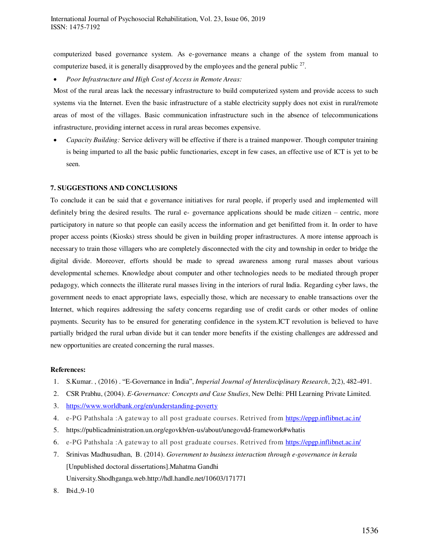computerized based governance system. As e-governance means a change of the system from manual to computerize based, it is generally disapproved by the employees and the general public  $27$ .

*Poor Infrastructure and High Cost of Access in Remote Areas:* 

Most of the rural areas lack the necessary infrastructure to build computerized system and provide access to such systems via the Internet. Even the basic infrastructure of a stable electricity supply does not exist in rural/remote areas of most of the villages. Basic communication infrastructure such in the absence of telecommunications infrastructure, providing internet access in rural areas becomes expensive.

 *Capacity Building:* Service delivery will be effective if there is a trained manpower. Though computer training is being imparted to all the basic public functionaries, except in few cases, an effective use of ICT is yet to be seen.

## **7. SUGGESTIONS AND CONCLUSIONS**

To conclude it can be said that e governance initiatives for rural people, if properly used and implemented will definitely bring the desired results. The rural e- governance applications should be made citizen – centric, more participatory in nature so that people can easily access the information and get benifitted from it. In order to have proper access points (Kiosks) stress should be given in building proper infrastructures. A more intense approach is necessary to train those villagers who are completely disconnected with the city and township in order to bridge the digital divide. Moreover, efforts should be made to spread awareness among rural masses about various developmental schemes. Knowledge about computer and other technologies needs to be mediated through proper pedagogy, which connects the illiterate rural masses living in the interiors of rural India. Regarding cyber laws, the government needs to enact appropriate laws, especially those, which are necessary to enable transactions over the Internet, which requires addressing the safety concerns regarding use of credit cards or other modes of online payments. Security has to be ensured for generating confidence in the system.ICT revolution is believed to have partially bridged the rural urban divide but it can tender more benefits if the existing challenges are addressed and new opportunities are created concerning the rural masses.

#### **References:**

- 1. S.Kumar. , (2016) . "E-Governance in India", *Imperial Journal of Interdisciplinary Research*, 2(2), 482-491.
- 2. CSR Prabhu, (2004). *E-Governance: Concepts and Case Studies*, New Delhi: PHI Learning Private Limited.
- 3. <https://www.worldbank.org/en/understanding-poverty>
- 4. e-PG Pathshala :A gateway to all post graduate courses. Retrived from <https://epgp.inflibnet.ac.in/>
- 5. https://publicadministration.un.org/egovkb/en-us/about/unegovdd-framework#whatis
- 6. e-PG Pathshala :A gateway to all post graduate courses. Retrived from <https://epgp.inflibnet.ac.in/>
- 7. Srinivas Madhusudhan, B. (2014). *Government to business interaction through e-governance in kerala*  [Unpublished doctoral dissertations].Mahatma Gandhi University*.*Shodhganga.web.http://hdl.handle.net/10603/171771
- 8. Ibid.,9-10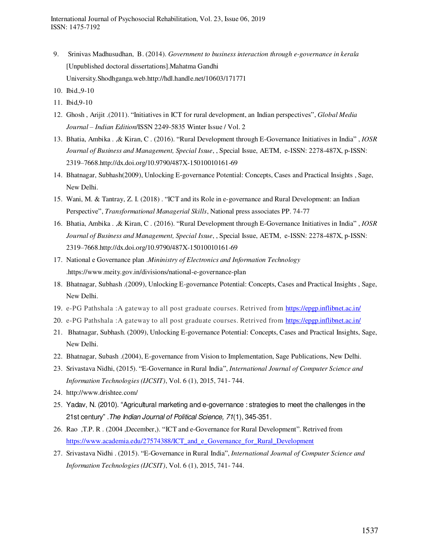- 9. Srinivas Madhusudhan, B. (2014). *Government to business interaction through e-governance in kerala*  [Unpublished doctoral dissertations].Mahatma Gandhi University*.*Shodhganga.web.http://hdl.handle.net/10603/171771
- 10. Ibid.,9-10
- 11. Ibid,9-10
- 12. Ghosh , Arijit .(2011). "Initiatives in ICT for rural development, an Indian perspectives", *Global Media Journal – Indian Edition*/ISSN 2249-5835 Winter Issue / Vol. 2
- 13. Bhatia, Ambika . ,& Kiran, C . (2016). "Rural Development through E-Governance Initiatives in India" , *IOSR Journal of Business and Management, Special Issue*, , Special Issue, AETM, e-ISSN: 2278-487X, p-ISSN: 2319–7668.http://dx.doi.org/10.9790/487X-15010010161-69
- 14. Bhatnagar, Subhash(2009), Unlocking E-governance Potential: Concepts, Cases and Practical Insights , Sage, New Delhi.
- 15. Wani, M. & Tantray, Z. I. (2018) . "ICT and its Role in e-governance and Rural Development: an Indian Perspective", *Transformational Managerial Skills*, National press associates PP. 74-77
- 16. Bhatia, Ambika . ,& Kiran, C . (2016). "Rural Development through E-Governance Initiatives in India" , *IOSR Journal of Business and Management, Special Issue*, , Special Issue, AETM, e-ISSN: 2278-487X, p-ISSN: 2319–7668.http://dx.doi.org/10.9790/487X-15010010161-69
- 17. National e Governance plan .*Mininistry of Electronics and Information Technology* .https://www.meity.gov.in/divisions/national-e-governance-plan
- 18. Bhatnagar, Subhash .(2009), Unlocking E-governance Potential: Concepts, Cases and Practical Insights , Sage, New Delhi.
- 19. e-PG Pathshala :A gateway to all post graduate courses. Retrived from <https://epgp.inflibnet.ac.in/>
- 20. e-PG Pathshala :A gateway to all post graduate courses. Retrived from <https://epgp.inflibnet.ac.in/>
- 21. Bhatnagar, Subhash. (2009), Unlocking E-governance Potential: Concepts, Cases and Practical Insights, Sage, New Delhi.
- 22. Bhatnagar, Subash .(2004), E-governance from Vision to Implementation, Sage Publications, New Delhi.
- 23. Srivastava Nidhi, (2015). "E-Governance in Rural India", *International Journal of Computer Science and Information Technologies (IJCSIT)*, Vol. 6 (1), 2015, 741- 744.
- 24. http://www.drishtee.com/
- 25. Yadav, N. (2010). "Agricultural marketing and e-governance : strategies to meet the challenges in the 21st century" .The Indian Journal of Political Science, 71(1), 345-351.
- 26. Rao ,T.P. R . (2004 ,December,). "ICT and e-Governance for Rural Development". Retrived from https://www.academia.edu/27574388/ICT and e Governance for Rural Development
- 27. Srivastava Nidhi . (2015). "E-Governance in Rural India", *International Journal of Computer Science and Information Technologies (IJCSIT)*, Vol. 6 (1), 2015, 741- 744.